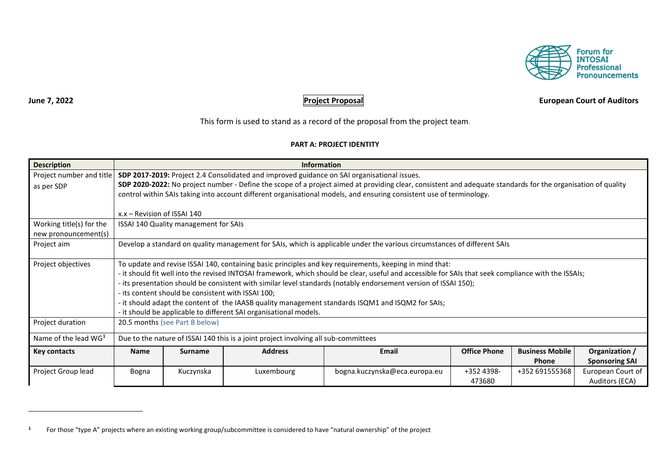

# **June 7, 2022 Project Proposal European Court of Auditors**

This form is used to stand as a record of the proposal from the project team.

### **PART A: PROJECT IDENTITY**

| <b>Description</b>       | <b>Information</b>                                                                                                                                   |                                       |                |                                                                                                                                                              |                     |                        |                       |
|--------------------------|------------------------------------------------------------------------------------------------------------------------------------------------------|---------------------------------------|----------------|--------------------------------------------------------------------------------------------------------------------------------------------------------------|---------------------|------------------------|-----------------------|
| Project number and title | SDP 2017-2019: Project 2.4 Consolidated and improved guidance on SAI organisational issues.                                                          |                                       |                |                                                                                                                                                              |                     |                        |                       |
| as per SDP               |                                                                                                                                                      |                                       |                | SDP 2020-2022: No project number - Define the scope of a project aimed at providing clear, consistent and adequate standards for the organisation of quality |                     |                        |                       |
|                          |                                                                                                                                                      |                                       |                | control within SAIs taking into account different organisational models, and ensuring consistent use of terminology.                                         |                     |                        |                       |
|                          |                                                                                                                                                      |                                       |                |                                                                                                                                                              |                     |                        |                       |
|                          | x.x – Revision of ISSAI 140                                                                                                                          |                                       |                |                                                                                                                                                              |                     |                        |                       |
| Working title(s) for the |                                                                                                                                                      | ISSAI 140 Quality management for SAIs |                |                                                                                                                                                              |                     |                        |                       |
| new pronouncement(s)     |                                                                                                                                                      |                                       |                |                                                                                                                                                              |                     |                        |                       |
| Project aim              | Develop a standard on quality management for SAIs, which is applicable under the various circumstances of different SAIs                             |                                       |                |                                                                                                                                                              |                     |                        |                       |
|                          |                                                                                                                                                      |                                       |                |                                                                                                                                                              |                     |                        |                       |
| Project objectives       | To update and revise ISSAI 140, containing basic principles and key requirements, keeping in mind that:                                              |                                       |                |                                                                                                                                                              |                     |                        |                       |
|                          | - it should fit well into the revised INTOSAI framework, which should be clear, useful and accessible for SAIs that seek compliance with the ISSAIs; |                                       |                |                                                                                                                                                              |                     |                        |                       |
|                          | - its presentation should be consistent with similar level standards (notably endorsement version of ISSAI 150);                                     |                                       |                |                                                                                                                                                              |                     |                        |                       |
|                          | - its content should be consistent with ISSAI 100;                                                                                                   |                                       |                |                                                                                                                                                              |                     |                        |                       |
|                          | - it should adapt the content of the IAASB quality management standards ISQM1 and ISQM2 for SAIs;                                                    |                                       |                |                                                                                                                                                              |                     |                        |                       |
|                          | - it should be applicable to different SAI organisational models.                                                                                    |                                       |                |                                                                                                                                                              |                     |                        |                       |
| Project duration         | 20.5 months (see Part B below)                                                                                                                       |                                       |                |                                                                                                                                                              |                     |                        |                       |
| Name of the lead $WG1$   | Due to the nature of ISSAI 140 this is a joint project involving all sub-committees                                                                  |                                       |                |                                                                                                                                                              |                     |                        |                       |
| <b>Key contacts</b>      | <b>Name</b>                                                                                                                                          | <b>Surname</b>                        | <b>Address</b> | <b>Email</b>                                                                                                                                                 | <b>Office Phone</b> | <b>Business Mobile</b> | Organization /        |
|                          |                                                                                                                                                      |                                       |                |                                                                                                                                                              |                     | <b>Phone</b>           | <b>Sponsoring SAI</b> |
| Project Group lead       | Bogna                                                                                                                                                | Kuczynska                             | Luxembourg     | bogna.kuczynska@eca.europa.eu                                                                                                                                | +352 4398-          | +352 691555368         | European Court of     |
|                          |                                                                                                                                                      |                                       |                |                                                                                                                                                              | 473680              |                        | Auditors (ECA)        |

**<sup>1</sup>** For those "type A" projects where an existing working group/subcommittee is considered to have "natural ownership" of the project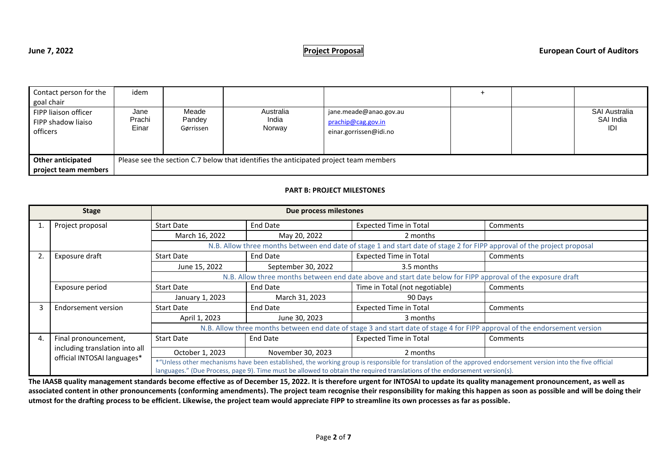| Contact person for the<br>goal chair                   | idem                    |                              |                                                                                       |                                                                        |  |                                          |
|--------------------------------------------------------|-------------------------|------------------------------|---------------------------------------------------------------------------------------|------------------------------------------------------------------------|--|------------------------------------------|
| FIPP liaison officer<br>FIPP shadow liaiso<br>officers | Jane<br>Prachi<br>Einar | Meade<br>Pandey<br>Gørrissen | Australia<br>India<br>Norway                                                          | jane.meade@anao.gov.au<br>prachip@cag.gov.in<br>einar.gorrissen@idi.no |  | <b>SAI Australia</b><br>SAI India<br>IDI |
| <b>Other anticipated</b><br>project team members       |                         |                              | Please see the section C.7 below that identifies the anticipated project team members |                                                                        |  |                                          |

### **PART B: PROJECT MILESTONES**

| <b>Stage</b>                                                                                                               |                                                               | Due process milestones                                                                                                     |                                                                                                                                                              |                                                                                                                         |          |  |
|----------------------------------------------------------------------------------------------------------------------------|---------------------------------------------------------------|----------------------------------------------------------------------------------------------------------------------------|--------------------------------------------------------------------------------------------------------------------------------------------------------------|-------------------------------------------------------------------------------------------------------------------------|----------|--|
|                                                                                                                            | Project proposal                                              | <b>Start Date</b>                                                                                                          | End Date                                                                                                                                                     | <b>Expected Time in Total</b>                                                                                           | Comments |  |
|                                                                                                                            |                                                               | March 16, 2022                                                                                                             | May 20, 2022                                                                                                                                                 | 2 months                                                                                                                |          |  |
|                                                                                                                            |                                                               |                                                                                                                            |                                                                                                                                                              | N.B. Allow three months between end date of stage 1 and start date of stage 2 for FIPP approval of the project proposal |          |  |
|                                                                                                                            | Exposure draft                                                | <b>Start Date</b>                                                                                                          | <b>End Date</b>                                                                                                                                              | <b>Expected Time in Total</b>                                                                                           | Comments |  |
|                                                                                                                            |                                                               | June 15, 2022                                                                                                              | September 30, 2022                                                                                                                                           | 3.5 months                                                                                                              |          |  |
| N.B. Allow three months between end date above and start date below for FIPP approval of the exposure draft                |                                                               |                                                                                                                            |                                                                                                                                                              |                                                                                                                         |          |  |
|                                                                                                                            | Exposure period                                               | Start Date                                                                                                                 | End Date                                                                                                                                                     | Time in Total (not negotiable)                                                                                          | Comments |  |
|                                                                                                                            | January 1, 2023                                               |                                                                                                                            | March 31, 2023                                                                                                                                               | 90 Days                                                                                                                 |          |  |
|                                                                                                                            | Endorsement version                                           | End Date<br><b>Expected Time in Total</b><br><b>Start Date</b>                                                             |                                                                                                                                                              |                                                                                                                         | Comments |  |
|                                                                                                                            |                                                               | April 1, 2023                                                                                                              | June 30, 2023                                                                                                                                                | 3 months                                                                                                                |          |  |
|                                                                                                                            |                                                               | N.B. Allow three months between end date of stage 3 and start date of stage 4 for FIPP approval of the endorsement version |                                                                                                                                                              |                                                                                                                         |          |  |
| 4.                                                                                                                         | Final pronouncement,                                          | <b>Start Date</b>                                                                                                          | End Date                                                                                                                                                     | <b>Expected Time in Total</b>                                                                                           | Comments |  |
|                                                                                                                            | including translation into all<br>official INTOSAI languages* | October 1, 2023                                                                                                            | November 30, 2023                                                                                                                                            | 2 months                                                                                                                |          |  |
|                                                                                                                            |                                                               |                                                                                                                            | *"Unless other mechanisms have been established, the working group is responsible for translation of the approved endorsement version into the five official |                                                                                                                         |          |  |
| languages." (Due Process, page 9). Time must be allowed to obtain the required translations of the endorsement version(s). |                                                               |                                                                                                                            |                                                                                                                                                              |                                                                                                                         |          |  |

**The IAASB quality management standards become effective as of December 15, 2022. It is therefore urgent for INTOSAI to update its quality management pronouncement, as well as associated content in other pronouncements (conforming amendments). The project team recognise their responsibility for making this happen as soon as possible and will be doing their utmost for the drafting process to be efficient. Likewise, the project team would appreciate FIPP to streamline its own processes as far as possible.**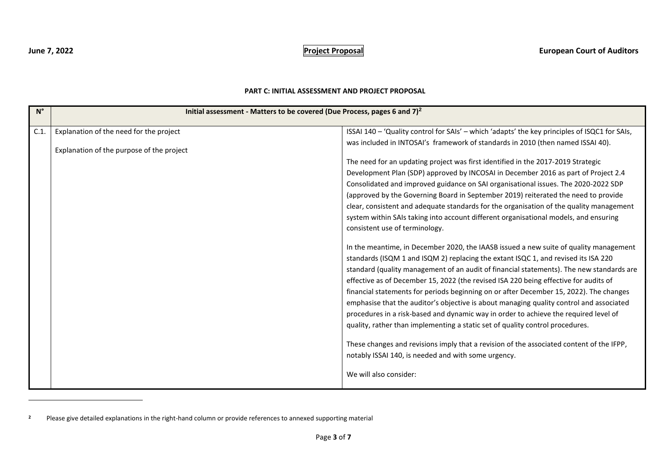## **PART C: INITIAL ASSESSMENT AND PROJECT PROPOSAL**

| $N^{\circ}$ | Initial assessment - Matters to be covered (Due Process, pages 6 and $7)^2$ |                                                                                               |
|-------------|-----------------------------------------------------------------------------|-----------------------------------------------------------------------------------------------|
| C.1         | Explanation of the need for the project                                     | ISSAI 140 - 'Quality control for SAIs' - which 'adapts' the key principles of ISQC1 for SAIs, |
|             |                                                                             | was included in INTOSAI's framework of standards in 2010 (then named ISSAI 40).               |
|             | Explanation of the purpose of the project                                   |                                                                                               |
|             |                                                                             | The need for an updating project was first identified in the 2017-2019 Strategic              |
|             |                                                                             | Development Plan (SDP) approved by INCOSAI in December 2016 as part of Project 2.4            |
|             |                                                                             | Consolidated and improved guidance on SAI organisational issues. The 2020-2022 SDP            |
|             |                                                                             | (approved by the Governing Board in September 2019) reiterated the need to provide            |
|             |                                                                             | clear, consistent and adequate standards for the organisation of the quality management       |
|             |                                                                             | system within SAIs taking into account different organisational models, and ensuring          |
|             |                                                                             | consistent use of terminology.                                                                |
|             |                                                                             | In the meantime, in December 2020, the IAASB issued a new suite of quality management         |
|             |                                                                             | standards (ISQM 1 and ISQM 2) replacing the extant ISQC 1, and revised its ISA 220            |
|             |                                                                             | standard (quality management of an audit of financial statements). The new standards are      |
|             |                                                                             | effective as of December 15, 2022 (the revised ISA 220 being effective for audits of          |
|             |                                                                             | financial statements for periods beginning on or after December 15, 2022). The changes        |
|             |                                                                             | emphasise that the auditor's objective is about managing quality control and associated       |
|             |                                                                             | procedures in a risk-based and dynamic way in order to achieve the required level of          |
|             |                                                                             | quality, rather than implementing a static set of quality control procedures.                 |
|             |                                                                             |                                                                                               |
|             |                                                                             | These changes and revisions imply that a revision of the associated content of the IFPP,      |
|             |                                                                             | notably ISSAI 140, is needed and with some urgency.                                           |
|             |                                                                             | We will also consider:                                                                        |

**<sup>2</sup>** Please give detailed explanations in the right-hand column or provide references to annexed supporting material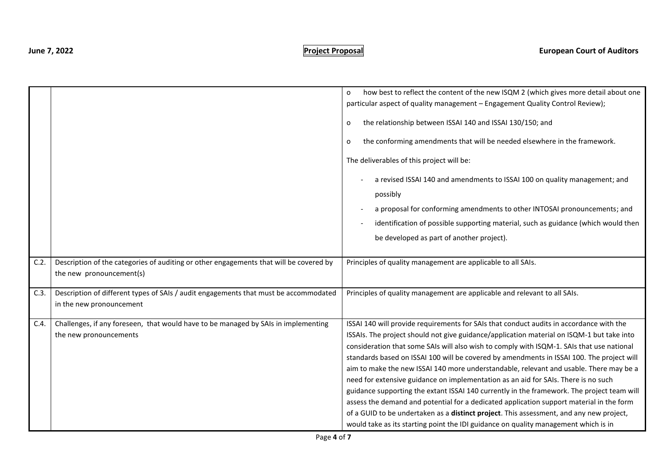|      |                                                                                                                    | how best to reflect the content of the new ISQM 2 (which gives more detail about one<br>o<br>particular aspect of quality management - Engagement Quality Control Review);<br>the relationship between ISSAI 140 and ISSAI 130/150; and<br>O<br>the conforming amendments that will be needed elsewhere in the framework.<br>0<br>The deliverables of this project will be:<br>a revised ISSAI 140 and amendments to ISSAI 100 on quality management; and<br>possibly<br>a proposal for conforming amendments to other INTOSAI pronouncements; and<br>identification of possible supporting material, such as guidance (which would then<br>be developed as part of another project).                                                                                                                                                                                                                                                      |
|------|--------------------------------------------------------------------------------------------------------------------|--------------------------------------------------------------------------------------------------------------------------------------------------------------------------------------------------------------------------------------------------------------------------------------------------------------------------------------------------------------------------------------------------------------------------------------------------------------------------------------------------------------------------------------------------------------------------------------------------------------------------------------------------------------------------------------------------------------------------------------------------------------------------------------------------------------------------------------------------------------------------------------------------------------------------------------------|
| C.2. | Description of the categories of auditing or other engagements that will be covered by<br>the new pronouncement(s) | Principles of quality management are applicable to all SAIs.                                                                                                                                                                                                                                                                                                                                                                                                                                                                                                                                                                                                                                                                                                                                                                                                                                                                               |
| C.3. | Description of different types of SAIs / audit engagements that must be accommodated<br>in the new pronouncement   | Principles of quality management are applicable and relevant to all SAIs.                                                                                                                                                                                                                                                                                                                                                                                                                                                                                                                                                                                                                                                                                                                                                                                                                                                                  |
| C.4. | Challenges, if any foreseen, that would have to be managed by SAIs in implementing<br>the new pronouncements       | ISSAI 140 will provide requirements for SAIs that conduct audits in accordance with the<br>ISSAIs. The project should not give guidance/application material on ISQM-1 but take into<br>consideration that some SAIs will also wish to comply with ISQM-1. SAIs that use national<br>standards based on ISSAI 100 will be covered by amendments in ISSAI 100. The project will<br>aim to make the new ISSAI 140 more understandable, relevant and usable. There may be a<br>need for extensive guidance on implementation as an aid for SAIs. There is no such<br>guidance supporting the extant ISSAI 140 currently in the framework. The project team will<br>assess the demand and potential for a dedicated application support material in the form<br>of a GUID to be undertaken as a distinct project. This assessment, and any new project,<br>would take as its starting point the IDI guidance on quality management which is in |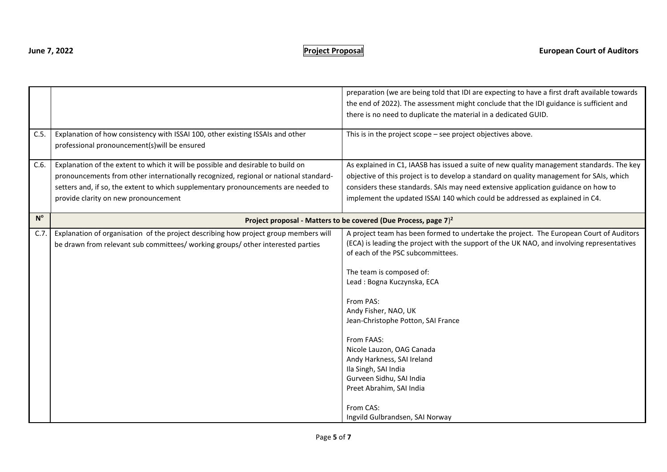| C.5.        | Explanation of how consistency with ISSAI 100, other existing ISSAIs and other<br>professional pronouncement(s) will be ensured                                                                                                                                                                        | preparation (we are being told that IDI are expecting to have a first draft available towards<br>the end of 2022). The assessment might conclude that the IDI guidance is sufficient and<br>there is no need to duplicate the material in a dedicated GUID.<br>This is in the project scope - see project objectives above.                                                                                                                                                                                                                                              |
|-------------|--------------------------------------------------------------------------------------------------------------------------------------------------------------------------------------------------------------------------------------------------------------------------------------------------------|--------------------------------------------------------------------------------------------------------------------------------------------------------------------------------------------------------------------------------------------------------------------------------------------------------------------------------------------------------------------------------------------------------------------------------------------------------------------------------------------------------------------------------------------------------------------------|
| C.6.        | Explanation of the extent to which it will be possible and desirable to build on<br>pronouncements from other internationally recognized, regional or national standard-<br>setters and, if so, the extent to which supplementary pronouncements are needed to<br>provide clarity on new pronouncement | As explained in C1, IAASB has issued a suite of new quality management standards. The key<br>objective of this project is to develop a standard on quality management for SAIs, which<br>considers these standards. SAIs may need extensive application guidance on how to<br>implement the updated ISSAI 140 which could be addressed as explained in C4.                                                                                                                                                                                                               |
| $N^{\circ}$ |                                                                                                                                                                                                                                                                                                        | Project proposal - Matters to be covered (Due Process, page $7)^2$                                                                                                                                                                                                                                                                                                                                                                                                                                                                                                       |
| C.7.        | Explanation of organisation of the project describing how project group members will<br>be drawn from relevant sub committees/ working groups/ other interested parties                                                                                                                                | A project team has been formed to undertake the project. The European Court of Auditors<br>(ECA) is leading the project with the support of the UK NAO, and involving representatives<br>of each of the PSC subcommittees.<br>The team is composed of:<br>Lead: Bogna Kuczynska, ECA<br>From PAS:<br>Andy Fisher, NAO, UK<br>Jean-Christophe Potton, SAI France<br>From FAAS:<br>Nicole Lauzon, OAG Canada<br>Andy Harkness, SAI Ireland<br>Ila Singh, SAI India<br>Gurveen Sidhu, SAI India<br>Preet Abrahim, SAI India<br>From CAS:<br>Ingvild Gulbrandsen, SAI Norway |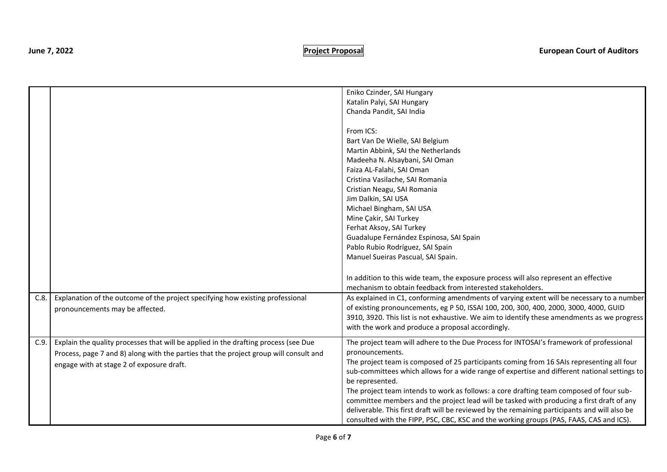|      |                                                                                       | Eniko Czinder, SAI Hungary                                                                    |
|------|---------------------------------------------------------------------------------------|-----------------------------------------------------------------------------------------------|
|      |                                                                                       | Katalin Palyi, SAI Hungary                                                                    |
|      |                                                                                       | Chanda Pandit, SAI India                                                                      |
|      |                                                                                       |                                                                                               |
|      |                                                                                       | From ICS:                                                                                     |
|      |                                                                                       | Bart Van De Wielle, SAI Belgium                                                               |
|      |                                                                                       | Martin Abbink, SAI the Netherlands                                                            |
|      |                                                                                       | Madeeha N. Alsaybani, SAI Oman                                                                |
|      |                                                                                       | Faiza AL-Falahi, SAI Oman                                                                     |
|      |                                                                                       | Cristina Vasilache, SAI Romania                                                               |
|      |                                                                                       | Cristian Neagu, SAI Romania                                                                   |
|      |                                                                                       | Jim Dalkin, SAI USA                                                                           |
|      |                                                                                       | Michael Bingham, SAI USA                                                                      |
|      |                                                                                       | Mine Çakir, SAI Turkey                                                                        |
|      |                                                                                       | Ferhat Aksoy, SAI Turkey                                                                      |
|      |                                                                                       | Guadalupe Fernández Espinosa, SAI Spain                                                       |
|      |                                                                                       | Pablo Rubio Rodríguez, SAI Spain                                                              |
|      |                                                                                       | Manuel Sueiras Pascual, SAI Spain.                                                            |
|      |                                                                                       |                                                                                               |
|      |                                                                                       | In addition to this wide team, the exposure process will also represent an effective          |
|      |                                                                                       | mechanism to obtain feedback from interested stakeholders.                                    |
| C.8. | Explanation of the outcome of the project specifying how existing professional        | As explained in C1, conforming amendments of varying extent will be necessary to a number     |
|      |                                                                                       | of existing pronouncements, eg P 50, ISSAI 100, 200, 300, 400, 2000, 3000, 4000, GUID         |
|      | pronouncements may be affected.                                                       | 3910, 3920. This list is not exhaustive. We aim to identify these amendments as we progress   |
|      |                                                                                       | with the work and produce a proposal accordingly.                                             |
|      |                                                                                       |                                                                                               |
| C.9. | Explain the quality processes that will be applied in the drafting process (see Due   | The project team will adhere to the Due Process for INTOSAI's framework of professional       |
|      | Process, page 7 and 8) along with the parties that the project group will consult and | pronouncements.                                                                               |
|      | engage with at stage 2 of exposure draft.                                             | The project team is composed of 25 participants coming from 16 SAIs representing all four     |
|      |                                                                                       | sub-committees which allows for a wide range of expertise and different national settings to  |
|      |                                                                                       | be represented.                                                                               |
|      |                                                                                       | The project team intends to work as follows: a core drafting team composed of four sub-       |
|      |                                                                                       | committee members and the project lead will be tasked with producing a first draft of any     |
|      |                                                                                       | deliverable. This first draft will be reviewed by the remaining participants and will also be |
|      |                                                                                       | consulted with the FIPP, PSC, CBC, KSC and the working groups (PAS, FAAS, CAS and ICS).       |